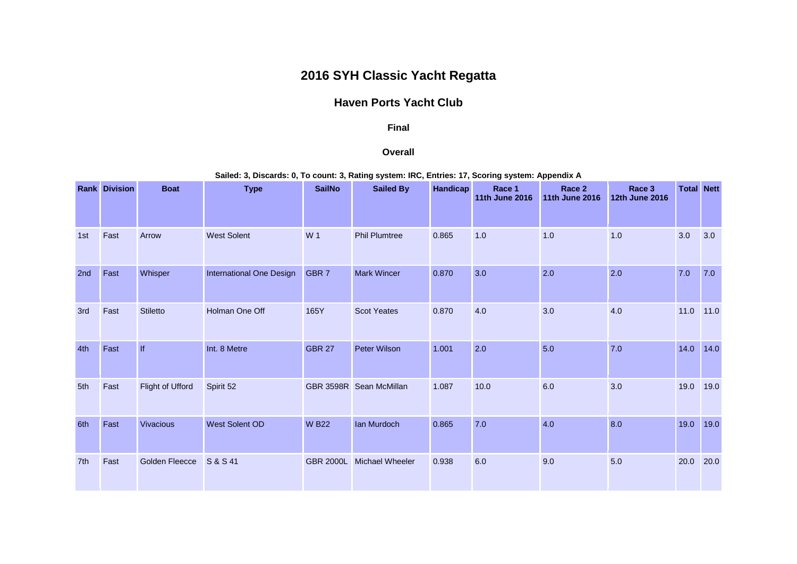## **2016 SYH Classic Yacht Regatta**

## **Haven Ports Yacht Club**

## **Final**

## **Overall**

**Sailed: 3, Discards: 0, To count: 3, Rating system: IRC, Entries: 17, Scoring system: Appendix A**

|     | <b>Rank Division</b> | <b>Boat</b>           | <b>Type</b>              | <b>SailNo</b>    | <b>Sailed By</b>        | Handicap | Race 1<br><b>11th June 2016</b> | Race 2<br><b>11th June 2016</b> | Race 3<br><b>12th June 2016</b> | <b>Total Nett</b> |      |
|-----|----------------------|-----------------------|--------------------------|------------------|-------------------------|----------|---------------------------------|---------------------------------|---------------------------------|-------------------|------|
| 1st | Fast                 | Arrow                 | <b>West Solent</b>       | W 1              | <b>Phil Plumtree</b>    | 0.865    | 1.0                             | 1.0                             | 1.0                             | 3.0               | 3.0  |
| 2nd | Fast                 | Whisper               | International One Design | GBR <sub>7</sub> | <b>Mark Wincer</b>      | 0.870    | 3.0                             | 2.0                             | 2.0                             | 7.0               | 7.0  |
| 3rd | Fast                 | <b>Stiletto</b>       | Holman One Off           | 165Y             | <b>Scot Yeates</b>      | 0.870    | 4.0                             | 3.0                             | 4.0                             | 11.0              | 11.0 |
| 4th | Fast                 | f                     | Int. 8 Metre             | <b>GBR 27</b>    | <b>Peter Wilson</b>     | 1.001    | 2.0                             | 5.0                             | 7.0                             | 14.0              | 14.0 |
| 5th | Fast                 | Flight of Ufford      | Spirit 52                |                  | GBR 3598R Sean McMillan | 1.087    | 10.0                            | 6.0                             | 3.0                             | 19.0              | 19.0 |
| 6th | Fast                 | <b>Vivacious</b>      | <b>West Solent OD</b>    | <b>W B22</b>     | <b>lan Murdoch</b>      | 0.865    | 7.0                             | 4.0                             | 8.0                             | 19.0              | 19.0 |
| 7th | Fast                 | <b>Golden Fleecce</b> | S & S 41                 | <b>GBR 2000L</b> | <b>Michael Wheeler</b>  | 0.938    | 6.0                             | 9.0                             | 5.0                             | 20.0              | 20.0 |